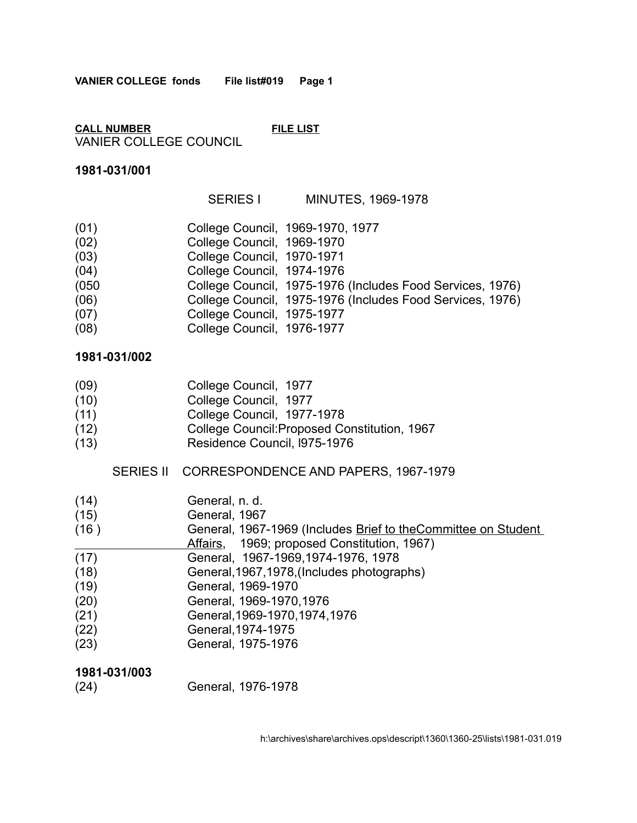**CALL NUMBER FILE LIST** VANIER COLLEGE COUNCIL

## **1981-031/001**

SERIES I MINUTES, 1969-1978

| (01)<br>College Council, 1969-1970, 1977<br>College Council, 1969-1970<br>College Council, 1970-1971<br>College Council, 1974-1976<br>College Council, 1975-1977 |                                                           |  |
|------------------------------------------------------------------------------------------------------------------------------------------------------------------|-----------------------------------------------------------|--|
| (02)<br>(03)<br>(04)<br>(050)<br>(06)<br>(07)<br>(08)                                                                                                            |                                                           |  |
|                                                                                                                                                                  |                                                           |  |
|                                                                                                                                                                  |                                                           |  |
|                                                                                                                                                                  |                                                           |  |
|                                                                                                                                                                  | College Council, 1975-1976 (Includes Food Services, 1976) |  |
|                                                                                                                                                                  | College Council, 1975-1976 (Includes Food Services, 1976) |  |
|                                                                                                                                                                  |                                                           |  |
|                                                                                                                                                                  | College Council, 1976-1977                                |  |

## **1981-031/002**

| (09) |  | College Council, 1977 |  |
|------|--|-----------------------|--|
|      |  |                       |  |

- (10) College Council, 1977
- (11) College Council, 1977-1978
- (12) College Council:Proposed Constitution, 1967
- (13) Residence Council, l975-1976

## SERIES II CORRESPONDENCE AND PAPERS, 1967-1979

- (14) General, n. d.
- (15) General, 1967
- (16) General, 1967-1969 (Includes Brief to the Committee on Student Affairs, 1969; proposed Constitution, 1967)
- 
- (17) General, 1967-1969,1974-1976, 1978
- (18) General,1967,1978,(Includes photographs)
- (19) General, 1969-1970
- (20) General, 1969-1970,1976
- (21) General,1969-1970,1974,1976
- (22) General,1974-1975
- (23) General, 1975-1976

## **1981-031/003**

(24) General, 1976-1978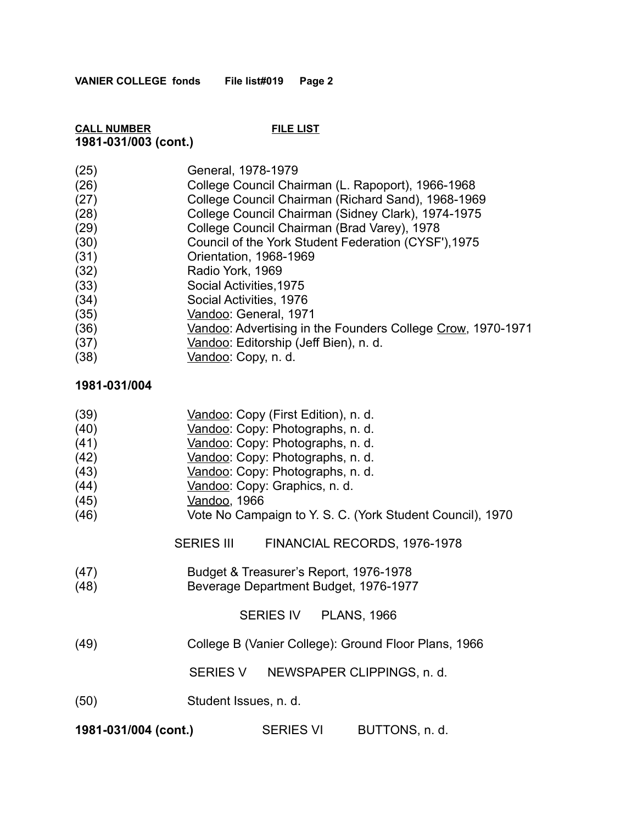## **CALL NUMBER FILE LIST 1981-031/003 (cont.)**

- (26) College Council Chairman (L. Rapoport), 1966-1968
- (27) College Council Chairman (Richard Sand), 1968-1969
- (28) College Council Chairman (Sidney Clark), 1974-1975
- (29) College Council Chairman (Brad Varey), 1978
- (30) Council of the York Student Federation (CYSF'),1975
- (31) Orientation, 1968-1969
- (32) Radio York, 1969
- (33) Social Activities,1975
- (34) Social Activities, 1976
- (35) Vandoo: General, 1971
- (36) Vandoo: Advertising in the Founders College Crow, 1970-1971
- (37) Vandoo: Editorship (Jeff Bien), n. d.
- (38) Vandoo: Copy, n. d.

## **1981-031/004**

(39) Vandoo: Copy (First Edition), n. d. (40) Vandoo: Copy: Photographs, n. d. (41) Vandoo: Copy: Photographs, n. d. (42) Vandoo: Copy: Photographs, n. d. (43) Vandoo: Copy: Photographs, n. d. (44) Vandoo: Copy: Graphics, n. d. (45) Vandoo, 1966 (46) Vote No Campaign to Y. S. C. (York Student Council), 1970 SERIES III FINANCIAL RECORDS, 1976-1978 (47) Budget & Treasurer's Report, 1976-1978 (48) Beverage Department Budget, 1976-1977 SERIES IV PLANS, 1966 (49) College B (Vanier College): Ground Floor Plans, 1966 SERIES V NEWSPAPER CLIPPINGS, n. d. (50) Student Issues, n. d. **1981-031/004 (cont.)** SERIES VI BUTTONS, n. d.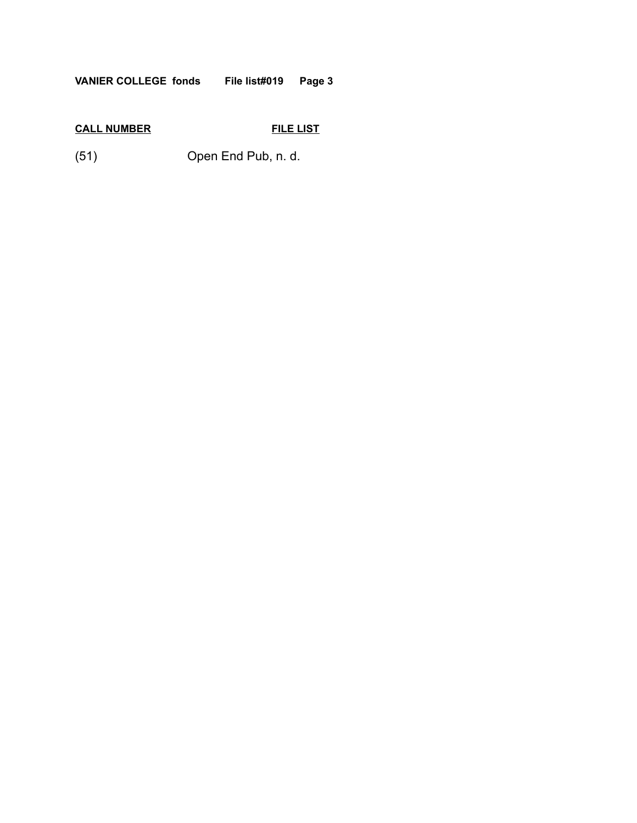**VANIER COLLEGE fonds File list#019 Page 3**

# **CALL NUMBER FILE LIST**

(51) Open End Pub, n. d.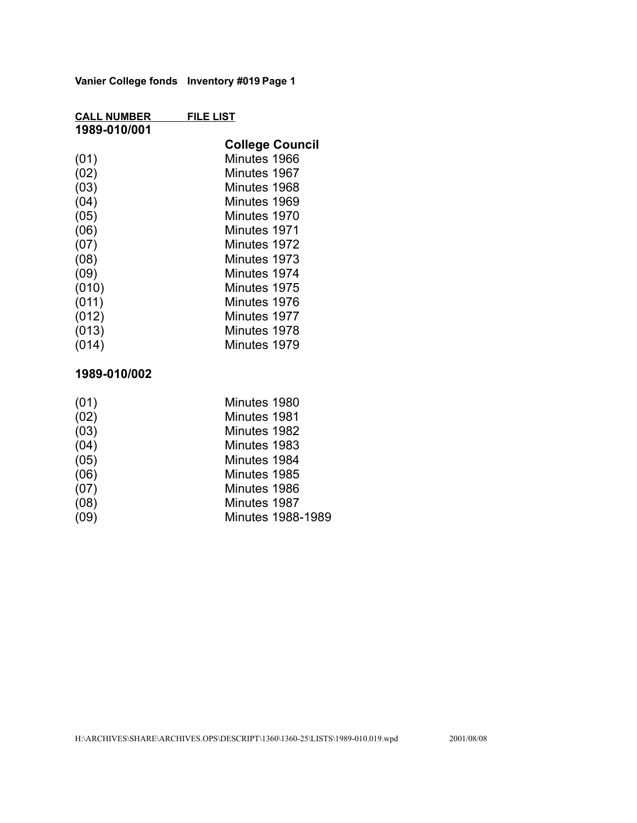**Vanier College fonds Inventory #019 Page 1**

| <b>CALL NUMBER</b> | <b>FILE LIST</b>       |
|--------------------|------------------------|
| 1989-010/001       |                        |
|                    | <b>College Council</b> |
| (01)               | Minutes 1966           |
| (02)               | Minutes 1967           |
| (03)               | Minutes 1968           |
| (04)               | Minutes 1969           |
| (05)               | Minutes 1970           |
| (06)               | Minutes 1971           |
| (07)               | Minutes 1972           |
| (08)               | Minutes 1973           |
| (09)               | Minutes 1974           |
| (010)              | Minutes 1975           |
| (011)              | Minutes 1976           |
| (012)              | Minutes 1977           |
| (013)              | Minutes 1978           |
| (014)              | Minutes 1979           |

## **1989-010/002**

| (01) | Minutes 1980             |
|------|--------------------------|
| (02) | Minutes 1981             |
| (03) | Minutes 1982             |
| (04) | Minutes 1983             |
| (05) | Minutes 1984             |
| (06) | Minutes 1985             |
| (07) | Minutes 1986             |
| (08) | Minutes 1987             |
| (09) | <b>Minutes 1988-1989</b> |
|      |                          |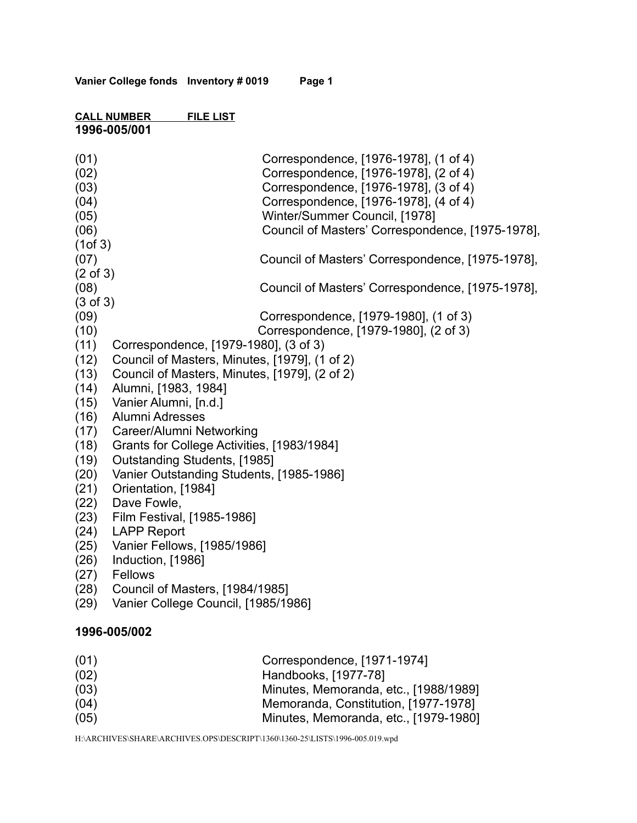### **CALL NUMBER FILE LIST 1996-005/001**

| (01)<br>(02)<br>(03)<br>(04)<br>(05) | Correspondence, [1976-1978], (1 of 4)<br>Correspondence, [1976-1978], (2 of 4)<br>Correspondence, [1976-1978], (3 of 4)<br>Correspondence, [1976-1978], (4 of 4)<br>Winter/Summer Council, [1978] |
|--------------------------------------|---------------------------------------------------------------------------------------------------------------------------------------------------------------------------------------------------|
| (06)                                 | Council of Masters' Correspondence, [1975-1978],                                                                                                                                                  |
| (1 of 3)                             |                                                                                                                                                                                                   |
| (07)                                 | Council of Masters' Correspondence, [1975-1978],                                                                                                                                                  |
| $(2 \text{ of } 3)$<br>(08)          | Council of Masters' Correspondence, [1975-1978],                                                                                                                                                  |
| $(3 \text{ of } 3)$                  |                                                                                                                                                                                                   |
| (09)                                 | Correspondence, [1979-1980], (1 of 3)                                                                                                                                                             |
| (10)                                 | Correspondence, [1979-1980], (2 of 3)                                                                                                                                                             |
| (11)                                 | Correspondence, [1979-1980], (3 of 3)                                                                                                                                                             |
| (12)                                 | Council of Masters, Minutes, [1979], (1 of 2)                                                                                                                                                     |
| (13)                                 | Council of Masters, Minutes, [1979], (2 of 2)                                                                                                                                                     |
| (14)                                 | Alumni, [1983, 1984]                                                                                                                                                                              |
| (15)                                 | Vanier Alumni, [n.d.]                                                                                                                                                                             |
| (16)                                 | <b>Alumni Adresses</b>                                                                                                                                                                            |
| (17)<br>(18)                         | Career/Alumni Networking<br>Grants for College Activities, [1983/1984]                                                                                                                            |
| (19)                                 | Outstanding Students, [1985]                                                                                                                                                                      |
| (20)                                 | Vanier Outstanding Students, [1985-1986]                                                                                                                                                          |
| (21)                                 | Orientation, [1984]                                                                                                                                                                               |
| (22)                                 | Dave Fowle,                                                                                                                                                                                       |
| (23)                                 | Film Festival, [1985-1986]                                                                                                                                                                        |
| (24)                                 | <b>LAPP Report</b>                                                                                                                                                                                |
| (25)                                 | Vanier Fellows, [1985/1986]                                                                                                                                                                       |
| (26)                                 | Induction, [1986]                                                                                                                                                                                 |
| (27)                                 | Fellows                                                                                                                                                                                           |
| (28)                                 | Council of Masters, [1984/1985]                                                                                                                                                                   |
| (29)                                 | Vanier College Council, [1985/1986]                                                                                                                                                               |
|                                      | 1996-005/002                                                                                                                                                                                      |
| (01)                                 | Correspondence, [1971-1974]                                                                                                                                                                       |
| (02)                                 | Handbooks, [1977-78]                                                                                                                                                                              |
| (03)                                 | Minutes, Memoranda, etc., [1988/1989]                                                                                                                                                             |
| (04)                                 | Memoranda, Constitution, [1977-1978]                                                                                                                                                              |

(05) Minutes, Memoranda, etc., [1979-1980]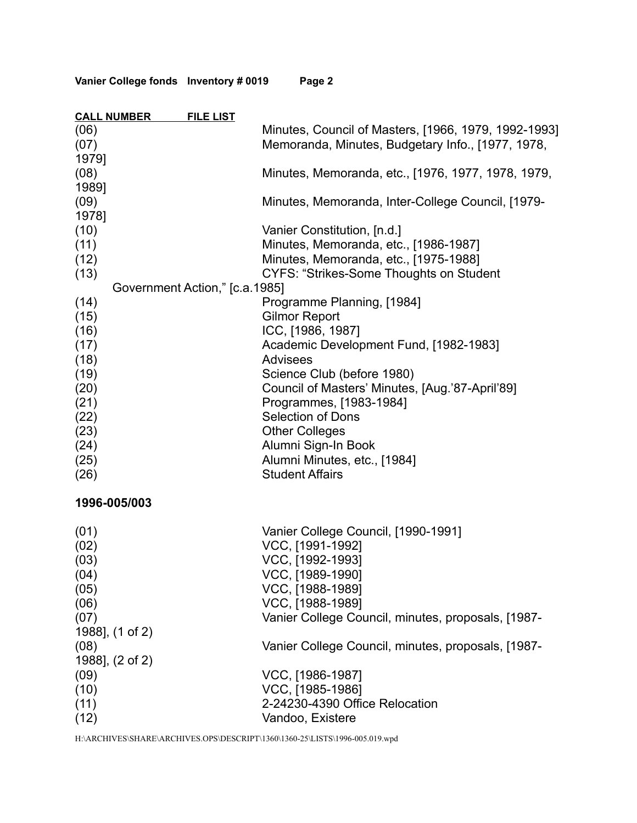| Vanier College fonds Inventory # 0019 | Page 2 |  |
|---------------------------------------|--------|--|
|---------------------------------------|--------|--|

|       | <b>CALL NUMBER</b><br><b>FILE LIST</b> |                                                      |
|-------|----------------------------------------|------------------------------------------------------|
| (06)  |                                        | Minutes, Council of Masters, [1966, 1979, 1992-1993] |
| (07)  |                                        | Memoranda, Minutes, Budgetary Info., [1977, 1978,    |
| 1979] |                                        |                                                      |
| (08)  |                                        | Minutes, Memoranda, etc., [1976, 1977, 1978, 1979,   |
| 1989] |                                        |                                                      |
| (09)  |                                        | Minutes, Memoranda, Inter-College Council, [1979-    |
| 1978] |                                        |                                                      |
| (10)  |                                        | Vanier Constitution, [n.d.]                          |
| (11)  |                                        | Minutes, Memoranda, etc., [1986-1987]                |
| (12)  |                                        | Minutes, Memoranda, etc., [1975-1988]                |
| (13)  |                                        | <b>CYFS: "Strikes-Some Thoughts on Student</b>       |
|       | Government Action," [c.a.1985]         |                                                      |
| (14)  |                                        | Programme Planning, [1984]                           |
| (15)  |                                        | <b>Gilmor Report</b>                                 |
| (16)  |                                        | ICC, [1986, 1987]                                    |
| (17)  |                                        | Academic Development Fund, [1982-1983]               |
| (18)  |                                        | <b>Advisees</b>                                      |
| (19)  |                                        | Science Club (before 1980)                           |
| (20)  |                                        | Council of Masters' Minutes, [Aug.'87-April'89]      |
| (21)  |                                        | Programmes, [1983-1984]                              |
| (22)  |                                        | <b>Selection of Dons</b>                             |
| (23)  |                                        | <b>Other Colleges</b>                                |
| (24)  |                                        | Alumni Sign-In Book                                  |
| (25)  |                                        | Alumni Minutes, etc., [1984]                         |
| (26)  |                                        | <b>Student Affairs</b>                               |
|       |                                        |                                                      |
|       | 1996-005/003                           |                                                      |
|       |                                        |                                                      |
| (01)  |                                        | Vanier College Council, [1990-1991]                  |
| (02)  |                                        | VCC, [1991-1992]                                     |
| (03)  |                                        | VCC, [1992-1993]                                     |
| (04)  |                                        | VCC, [1989-1990]                                     |
| (05)  |                                        | VCC, [1988-1989]                                     |
| (06)  |                                        | VCC, [1988-1989]                                     |
| (07)  |                                        | Vanier College Council, minutes, proposals, [1987-   |
|       | 1988], (1 of 2)                        |                                                      |
| (08)  |                                        | Vanier College Council, minutes, proposals, [1987-   |
|       | 1988], (2 of 2)                        |                                                      |
| (09)  |                                        | VCC, [1986-1987]                                     |
| (10)  |                                        | VCC, [1985-1986]                                     |
| (11)  |                                        | 2-24230-4390 Office Relocation                       |
| (12)  |                                        | Vandoo, Existere                                     |

H:\ARCHIVES\SHARE\ARCHIVES.OPS\DESCRIPT\1360\1360-25\LISTS\1996-005.019.wpd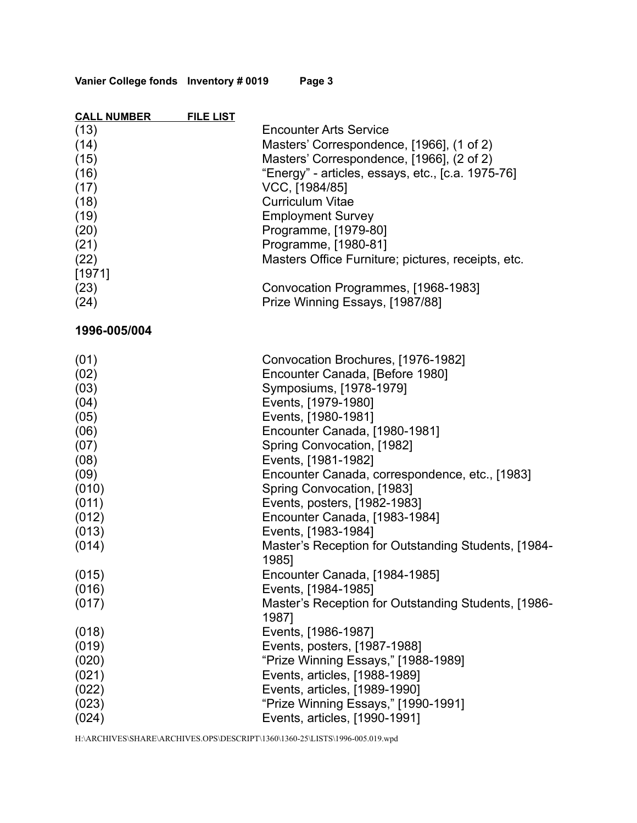| <b>CALL NUMBER</b> | <b>FILE LIST</b> |                                                                       |
|--------------------|------------------|-----------------------------------------------------------------------|
| (13)               |                  | <b>Encounter Arts Service</b>                                         |
| (14)               |                  | Masters' Correspondence, [1966], (1 of 2)                             |
| (15)               |                  | Masters' Correspondence, [1966], (2 of 2)                             |
| (16)               |                  | "Energy" - articles, essays, etc., [c.a. 1975-76]                     |
| (17)               |                  | VCC, [1984/85]                                                        |
| (18)               |                  | <b>Curriculum Vitae</b>                                               |
| (19)               |                  | <b>Employment Survey</b>                                              |
| (20)               |                  | Programme, [1979-80]                                                  |
| (21)               |                  | Programme, [1980-81]                                                  |
| (22)               |                  | Masters Office Furniture; pictures, receipts, etc.                    |
| [1971]             |                  |                                                                       |
| (23)               |                  | Convocation Programmes, [1968-1983]                                   |
| (24)               |                  | Prize Winning Essays, [1987/88]                                       |
|                    |                  |                                                                       |
| 1996-005/004       |                  |                                                                       |
|                    |                  |                                                                       |
| (01)               |                  | Convocation Brochures, [1976-1982]<br>Encounter Canada, [Before 1980] |
| (02)               |                  |                                                                       |
| (03)               |                  | Symposiums, [1978-1979]                                               |
| (04)               |                  | Events, [1979-1980]                                                   |
| (05)               |                  | Events, [1980-1981]                                                   |
| (06)               |                  | Encounter Canada, [1980-1981]                                         |
| (07)               |                  | Spring Convocation, [1982]                                            |
| (08)               |                  | Events, [1981-1982]                                                   |
| (09)               |                  | Encounter Canada, correspondence, etc., [1983]                        |
| (010)              |                  | Spring Convocation, [1983]                                            |
| (011)              |                  | Events, posters, [1982-1983]                                          |
| (012)              |                  | Encounter Canada, [1983-1984]                                         |
| (013)              |                  | Events, [1983-1984]                                                   |
| (014)              |                  | Master's Reception for Outstanding Students, [1984-<br>1985]          |
| (015)              |                  | Encounter Canada, [1984-1985]                                         |
| (016)              |                  | Events, [1984-1985]                                                   |
| (017)              |                  | Master's Reception for Outstanding Students, [1986-                   |
|                    |                  | 1987]                                                                 |
| (018)              |                  | Events, [1986-1987]                                                   |
| (019)              |                  | Events, posters, [1987-1988]                                          |
| (020)              |                  | "Prize Winning Essays," [1988-1989]                                   |
| (021)              |                  | Events, articles, [1988-1989]                                         |
| (022)              |                  | Events, articles, [1989-1990]                                         |
| (023)              |                  | "Prize Winning Essays," [1990-1991]                                   |
| (024)              |                  | Events, articles, [1990-1991]                                         |
|                    |                  |                                                                       |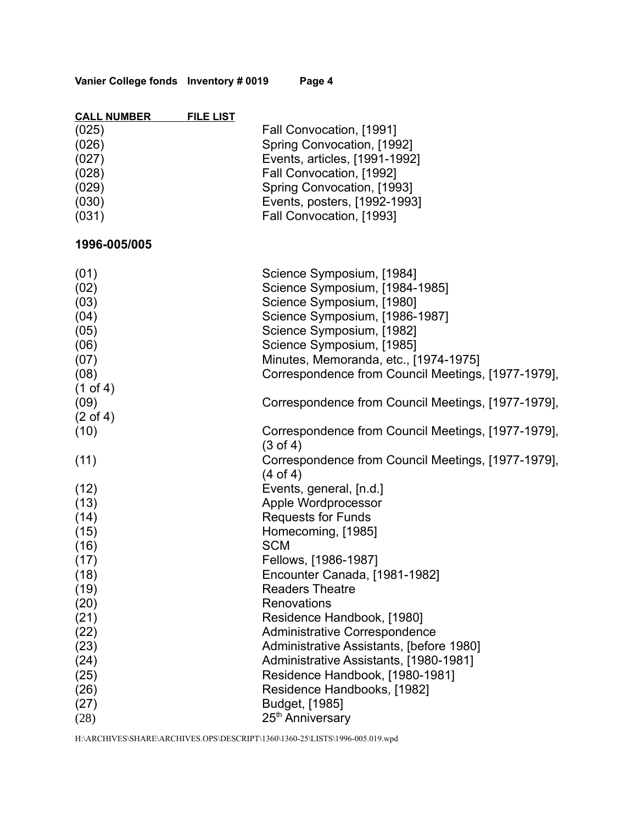| Vanier College fonds Inventory # 0019 |  |  | Page 4 |
|---------------------------------------|--|--|--------|
|---------------------------------------|--|--|--------|

| <b>CALL NUMBER</b><br>(025)<br>(026)<br>(027)<br>(028)<br>(029)<br>(030)<br>(031)   | <b>FILE LIST</b> | Fall Convocation, [1991]<br>Spring Convocation, [1992]<br>Events, articles, [1991-1992]<br>Fall Convocation, [1992]<br>Spring Convocation, [1993]<br>Events, posters, [1992-1993]<br>Fall Convocation, [1993]                                                                       |
|-------------------------------------------------------------------------------------|------------------|-------------------------------------------------------------------------------------------------------------------------------------------------------------------------------------------------------------------------------------------------------------------------------------|
| 1996-005/005                                                                        |                  |                                                                                                                                                                                                                                                                                     |
| (01)<br>(02)<br>(03)<br>(04)<br>(05)<br>(06)<br>(07)<br>(08)<br>$(1 \text{ of } 4)$ |                  | Science Symposium, [1984]<br>Science Symposium, [1984-1985]<br>Science Symposium, [1980]<br>Science Symposium, [1986-1987]<br>Science Symposium, [1982]<br>Science Symposium, [1985]<br>Minutes, Memoranda, etc., [1974-1975]<br>Correspondence from Council Meetings, [1977-1979], |
| (09)                                                                                |                  | Correspondence from Council Meetings, [1977-1979],                                                                                                                                                                                                                                  |
| $(2 \text{ of } 4)$<br>(10)                                                         |                  | Correspondence from Council Meetings, [1977-1979],                                                                                                                                                                                                                                  |
| (11)                                                                                |                  | $(3 \text{ of } 4)$<br>Correspondence from Council Meetings, [1977-1979],<br>$(4 \text{ of } 4)$                                                                                                                                                                                    |
| (12)<br>(13)<br>(14)<br>(15)<br>(16)                                                |                  | Events, general, [n.d.]<br>Apple Wordprocessor<br><b>Requests for Funds</b><br>Homecoming, [1985]<br><b>SCM</b>                                                                                                                                                                     |
| (17)<br>(18)<br>(19)<br>(20)                                                        |                  | Fellows, [1986-1987]<br>Encounter Canada, [1981-1982]<br><b>Readers Theatre</b><br><b>Renovations</b>                                                                                                                                                                               |
| (21)<br>(22)<br>(23)<br>(24)<br>(25)<br>(26)<br>(27)<br>(28)                        |                  | Residence Handbook, [1980]<br><b>Administrative Correspondence</b><br>Administrative Assistants, [before 1980]<br>Administrative Assistants, [1980-1981]<br>Residence Handbook, [1980-1981]<br>Residence Handbooks, [1982]<br>Budget, [1985]<br>25 <sup>th</sup> Anniversary        |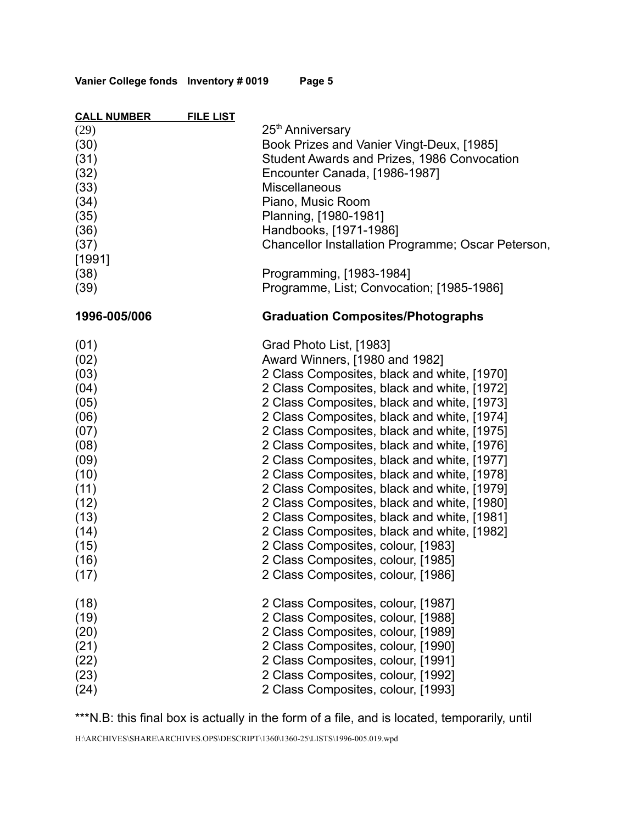**Vanier College fonds Inventory # 0019 Page 5**

| <b>CALL NUMBER</b>                                                                                                                   | <b>FILE LIST</b> |                                                                                                                                                                                                                                                                                                                                                                                                                                                                                                                                                                                                                                                                                                                                                                 |
|--------------------------------------------------------------------------------------------------------------------------------------|------------------|-----------------------------------------------------------------------------------------------------------------------------------------------------------------------------------------------------------------------------------------------------------------------------------------------------------------------------------------------------------------------------------------------------------------------------------------------------------------------------------------------------------------------------------------------------------------------------------------------------------------------------------------------------------------------------------------------------------------------------------------------------------------|
| (29)<br>(30)<br>(31)<br>(32)<br>(33)<br>(34)<br>(35)<br>(36)<br>(37)<br>[1991]<br>(38)                                               |                  | 25 <sup>th</sup> Anniversary<br>Book Prizes and Vanier Vingt-Deux, [1985]<br>Student Awards and Prizes, 1986 Convocation<br>Encounter Canada, [1986-1987]<br><b>Miscellaneous</b><br>Piano, Music Room<br>Planning, [1980-1981]<br>Handbooks, [1971-1986]<br>Chancellor Installation Programme; Oscar Peterson,<br>Programming, [1983-1984]                                                                                                                                                                                                                                                                                                                                                                                                                     |
| (39)                                                                                                                                 |                  | Programme, List; Convocation; [1985-1986]                                                                                                                                                                                                                                                                                                                                                                                                                                                                                                                                                                                                                                                                                                                       |
| 1996-005/006                                                                                                                         |                  | <b>Graduation Composites/Photographs</b>                                                                                                                                                                                                                                                                                                                                                                                                                                                                                                                                                                                                                                                                                                                        |
| (01)<br>(02)<br>(03)<br>(04)<br>(05)<br>(06)<br>(07)<br>(08)<br>(09)<br>(10)<br>(11)<br>(12)<br>(13)<br>(14)<br>(15)<br>(16)<br>(17) |                  | Grad Photo List, [1983]<br>Award Winners, [1980 and 1982]<br>2 Class Composites, black and white, [1970]<br>2 Class Composites, black and white, [1972]<br>2 Class Composites, black and white, [1973]<br>2 Class Composites, black and white, [1974]<br>2 Class Composites, black and white, [1975]<br>2 Class Composites, black and white, [1976]<br>2 Class Composites, black and white, [1977]<br>2 Class Composites, black and white, [1978]<br>2 Class Composites, black and white, [1979]<br>2 Class Composites, black and white, [1980]<br>2 Class Composites, black and white, [1981]<br>2 Class Composites, black and white, [1982]<br>2 Class Composites, colour, [1983]<br>2 Class Composites, colour, [1985]<br>2 Class Composites, colour, [1986] |
| (18)<br>(19)<br>(20)<br>(21)<br>(22)<br>(23)<br>(24)                                                                                 |                  | 2 Class Composites, colour, [1987]<br>2 Class Composites, colour, [1988]<br>2 Class Composites, colour, [1989]<br>2 Class Composites, colour, [1990]<br>2 Class Composites, colour, [1991]<br>2 Class Composites, colour, [1992]<br>2 Class Composites, colour, [1993]                                                                                                                                                                                                                                                                                                                                                                                                                                                                                          |

\*\*\*N.B: this final box is actually in the form of a file, and is located, temporarily, until